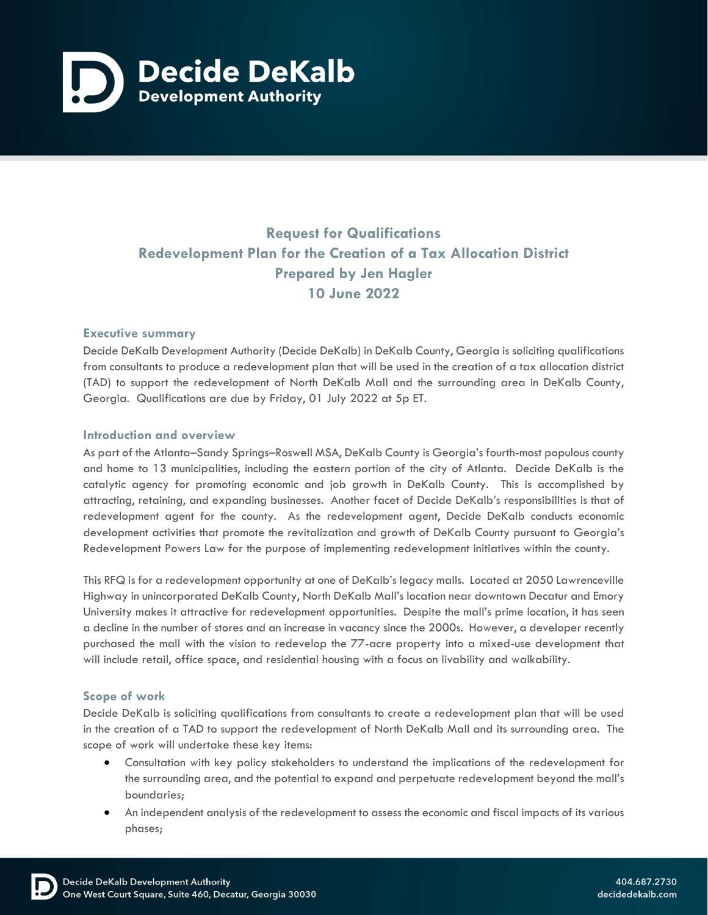

# **Request for Qualifications Redevelopment Plan for the Creation of a Tax Allocation District Prepared by Jen Hagler 10 June 2022**

## **Executive summary**

Decide DeKalb Development Authority (Decide DeKalb) in DeKalb County, Georgia is soliciting qualifications from consultants to produce a redevelopment plan that will be used in the creation of a tax allocation district (TAD) to support the redevelopment of North DeKalb Mall and the surrounding area in DeKalb County, Georgia. Qualifications are due by Friday, 01 July 2022 at 5p ET.

### **Introduction and overview**

As part of the Atlanta–Sandy Springs–Roswell MSA, DeKalb County is Georgia's fourth-most populous county and home to 13 municipalities, including the eastern portion of the city of Atlanta. Decide DeKalb is the catalytic agency for promoting economic and job growth in DeKalb County. This is accomplished by attracting, retaining, and expanding businesses. Another facet of Decide DeKalb's responsibilities is that of redevelopment agent for the county. As the redevelopment agent, Decide DeKalb conducts economic development activities that promote the revitalization and growth of DeKalb County pursuant to Georgia's Redevelopment Powers Law for the purpose of implementing redevelopment initiatives within the county.

This RFQ is for a redevelopment opportunity at one of DeKalb's legacy malls. Located at 2050 Lawrenceville Highway in unincorporated DeKalb County, North DeKalb Mall's location near downtown Decatur and Emory University makes it attractive for redevelopment opportunities. Despite the mall's prime location, it has seen a decline in the number of stores and an increase in vacancy since the 2000s. However, a developer recently purchased the mall with the vision to redevelop the 77-acre property into a mixed-use development that will include retail, office space, and residential housing with a focus on livability and walkability.

### **Scope of work**

Decide DeKalb is soliciting qualifications from consultants to create a redevelopment plan that will be used in the creation of a TAD to support the redevelopment of North DeKalb Mall and its surrounding area. The scope of work will undertake these key items:

- Consultation with key policy stakeholders to understand the implications of the redevelopment for the surrounding area, and the potential to expand and perpetuate redevelopment beyond the mall's boundaries;
- An independent analysis of the redevelopment to assess the economic and fiscal impacts of its various phases;

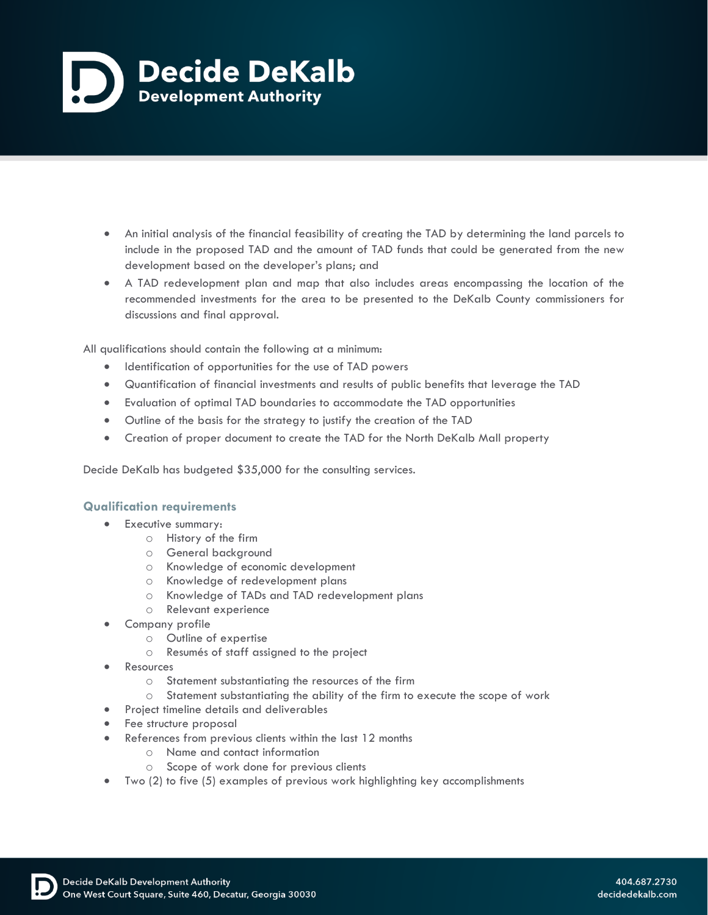

- An initial analysis of the financial feasibility of creating the TAD by determining the land parcels to include in the proposed TAD and the amount of TAD funds that could be generated from the new development based on the developer's plans; and
- A TAD redevelopment plan and map that also includes areas encompassing the location of the recommended investments for the area to be presented to the DeKalb County commissioners for discussions and final approval.

All qualifications should contain the following at a minimum:

- Identification of opportunities for the use of TAD powers
- Quantification of financial investments and results of public benefits that leverage the TAD
- Evaluation of optimal TAD boundaries to accommodate the TAD opportunities
- Outline of the basis for the strategy to justify the creation of the TAD
- Creation of proper document to create the TAD for the North DeKalb Mall property

Decide DeKalb has budgeted \$35,000 for the consulting services.

### **Qualification requirements**

- Executive summary:
	- o History of the firm
	- o General background
	- o Knowledge of economic development
	- o Knowledge of redevelopment plans
	- o Knowledge of TADs and TAD redevelopment plans
	- o Relevant experience
- Company profile
	- o Outline of expertise
	- o Resumés of staff assigned to the project
- **Resources** 
	- o Statement substantiating the resources of the firm
	- o Statement substantiating the ability of the firm to execute the scope of work
- Project timeline details and deliverables
- Fee structure proposal
- References from previous clients within the last 12 months
	- o Name and contact information
	- o Scope of work done for previous clients
- Two (2) to five (5) examples of previous work highlighting key accomplishments